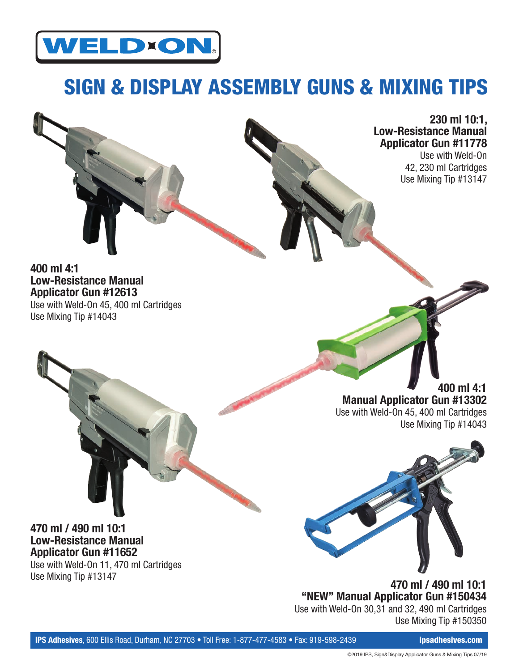

## SIGN & DISPLAY ASSEMBLY GUNS & MIXING TIPS



Use with Weld-On 42, 230 ml Cartridges Use Mixing Tip #13147

**400 ml 4:1 Low-Resistance Manual Applicator Gun #12613** Use with Weld-On 45, 400 ml Cartridges Use Mixing Tip #14043

> **400 ml 4:1 Manual Applicator Gun #13302** Use with Weld-On 45, 400 ml Cartridges Use Mixing Tip #14043



**470 ml / 490 ml 10:1 "NEW" Manual Applicator Gun #150434** Use with Weld-On 30,31 and 32, 490 ml Cartridges Use Mixing Tip #150350

## **470 ml / 490 ml 10:1 Low-Resistance Manual Applicator Gun #11652**

Use with Weld-On 11, 470 ml Cartridges Use Mixing Tip #13147

©2019 IPS, Sign&Display Applicator Guns & Mixing Tips 07/19

**IPS Adhesives**, 600 Ellis Road, Durham, NC 27703 • Toll Free: 1-877-477-4583 • Fax: 919-598-2439 **ipsadhesives.com**